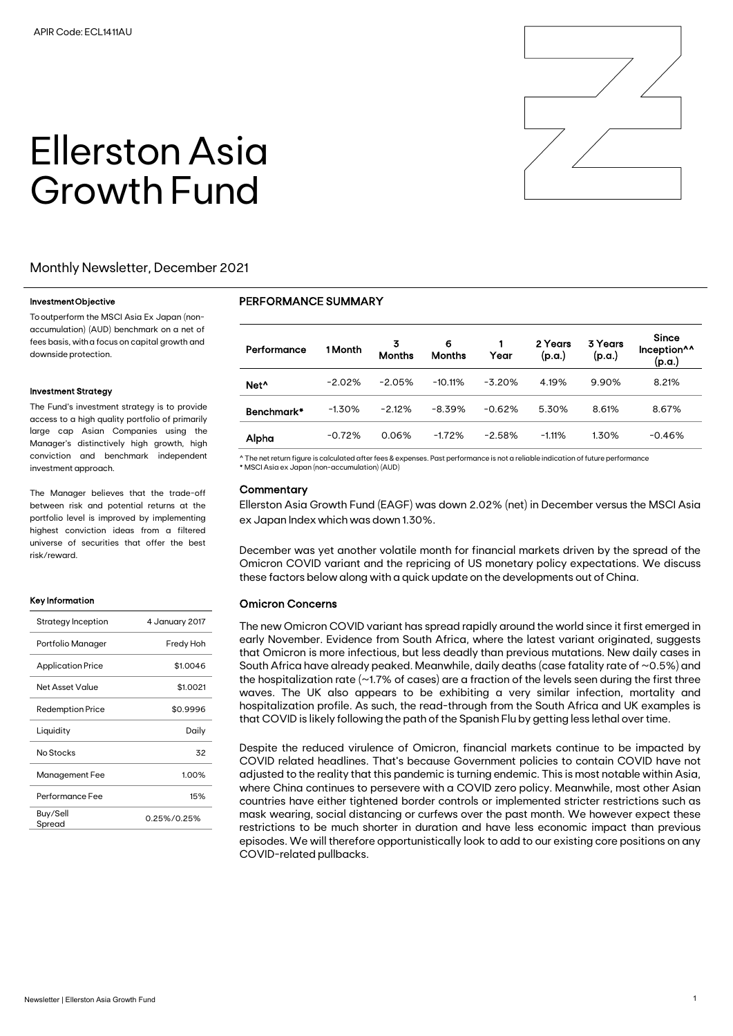

# Ellerston Asia Growth Fund

## Monthly Newsletter, December 2021

#### Investment Objective

To outperform the MSCI Asia Ex Japan (nonaccumulation) (AUD) benchmark on a net of fees basis, with a focus on capital growth and downside protection.

#### Investment Strategy

The Fund's investment strategy is to provide access to a high quality portfolio of primarily large cap Asian Companies using the Manager's distinctively high growth, high conviction and benchmark independent investment approach.

The Manager believes that the trade-off between risk and potential returns at the portfolio level is improved by implementing highest conviction ideas from a filtered universe of securities that offer the best risk/reward.

#### Key Information

| Strategy Inception       | 4 January 2017 |
|--------------------------|----------------|
| Portfolio Manager        | Fredy Hoh      |
| <b>Application Price</b> | \$1.0046       |
| Net Asset Value          | \$1.0021       |
| <b>Redemption Price</b>  | \$0.9996       |
| Liquidity                | Daily          |
| No Stocks                | 32             |
| Management Fee           | 1.00%          |
| Performance Fee          | 15%            |
| Buy/Sell<br>Spread       | 0.25%/0.25%    |

### PERFORMANCE SUMMARY

| Performance      | 1 Month  | 3<br><b>Months</b> | 6<br><b>Months</b> | Year     | 2 Years<br>(p.a.) | 3 Years<br>(p.a.) | <b>Since</b><br>Inception <sup>^^</sup><br>(p.a.) |
|------------------|----------|--------------------|--------------------|----------|-------------------|-------------------|---------------------------------------------------|
| Net <sup>^</sup> | $-2.02%$ | $-2.05%$           | $-10.11%$          | $-3.20%$ | 4.19%             | 9.90%             | 8.21%                                             |
| Benchmark*       | $-1.30%$ | $-2.12%$           | $-8.39%$           | $-0.62%$ | 5.30%             | 8.61%             | 8.67%                                             |
| Alpha            | $-0.72%$ | 0.06%              | $-1.72%$           | $-2.58%$ | $-1.11%$          | 1.30%             | $-0.46%$                                          |

^ The net return figure is calculated after fees & expenses. Past performance is not a reliable indication of future performance

\* MSCI Asia ex Japan (non-accumulation) (AUD)

#### **Commentary**

Ellerston Asia Growth Fund (EAGF) was down 2.02% (net) in December versus the MSCI Asia ex Japan Index which was down 1.30%.

December was yet another volatile month for financial markets driven by the spread of the Omicron COVID variant and the repricing of US monetary policy expectations. We discuss these factors below along with a quick update on the developments out of China.

#### Omicron Concerns

The new Omicron COVID variant has spread rapidly around the world since it first emerged in early November. Evidence from South Africa, where the latest variant originated, suggests that Omicron is more infectious, but less deadly than previous mutations. New daily cases in South Africa have already peaked. Meanwhile, daily deaths (case fatality rate of ~0.5%) and the hospitalization rate ( $\sim$ 1.7% of cases) are a fraction of the levels seen during the first three waves. The UK also appears to be exhibiting a very similar infection, mortality and hospitalization profile. As such, the read-through from the South Africa and UK examples is that COVID is likely following the path of the Spanish Flu by getting less lethal over time.

Despite the reduced virulence of Omicron, financial markets continue to be impacted by COVID related headlines. That's because Government policies to contain COVID have not adjusted to the reality that this pandemic is turning endemic. This is most notable within Asia, where China continues to persevere with a COVID zero policy. Meanwhile, most other Asian countries have either tightened border controls or implemented stricter restrictions such as mask wearing, social distancing or curfews over the past month. We however expect these restrictions to be much shorter in duration and have less economic impact than previous episodes. We will therefore opportunistically look to add to our existing core positions on any COVID-related pullbacks.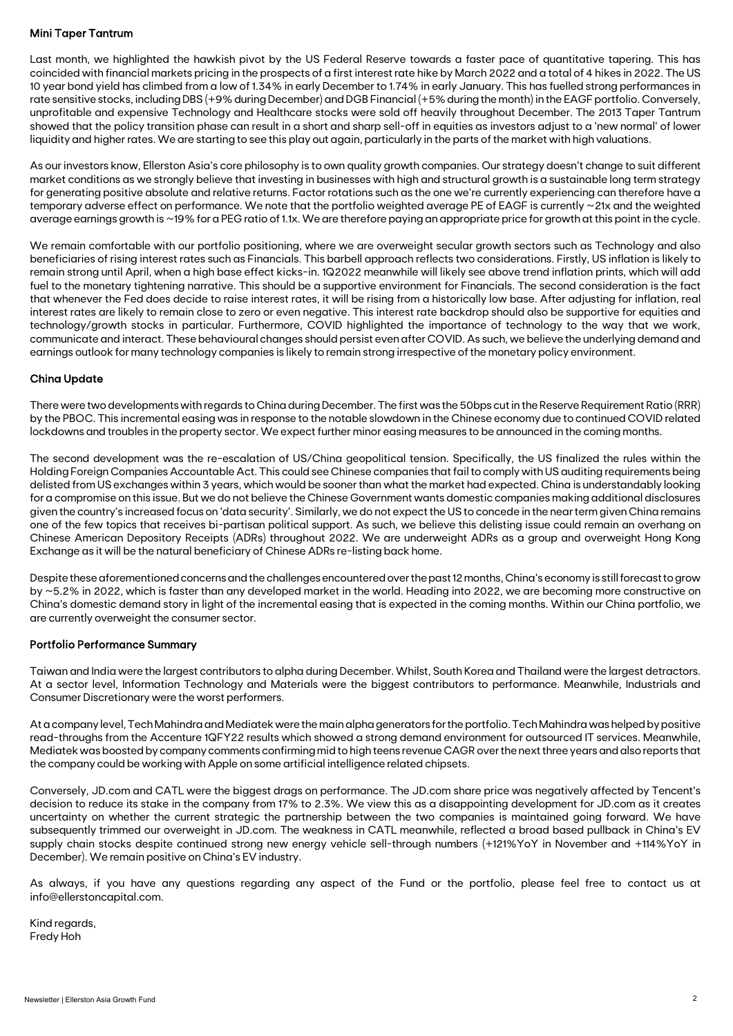### Mini Taper Tantrum

Last month, we highlighted the hawkish pivot by the US Federal Reserve towards a faster pace of quantitative tapering. This has coincided with financial markets pricing in the prospects of a first interest rate hike by March 2022 and a total of 4 hikes in 2022. The US 10 year bond yield has climbed from a low of 1.34% in early December to 1.74% in early January. This has fuelled strong performances in rate sensitive stocks, including DBS (+9% during December) and DGB Financial (+5% during the month) in the EAGF portfolio. Conversely, unprofitable and expensive Technology and Healthcare stocks were sold off heavily throughout December. The 2013 Taper Tantrum showed that the policy transition phase can result in a short and sharp sell-off in equities as investors adjust to a 'new normal' of lower liquidity and higher rates. We are starting to see this play out again, particularly in the parts of the market with high valuations.

As our investors know, Ellerston Asia's core philosophy is to own quality growth companies. Our strategy doesn't change to suit different market conditions as we strongly believe that investing in businesses with high and structural growth is a sustainable long term strategy for generating positive absolute and relative returns. Factor rotations such as the one we're currently experiencing can therefore have a temporary adverse effect on performance. We note that the portfolio weighted average PE of EAGF is currently ~21x and the weighted average earnings growth is ~19% for a PEG ratio of 1.1x. We are therefore paying an appropriate price for growth at this point in the cycle.

We remain comfortable with our portfolio positioning, where we are overweight secular growth sectors such as Technology and also beneficiaries of rising interest rates such as Financials. This barbell approach reflects two considerations. Firstly, US inflation is likely to remain strong until April, when a high base effect kicks-in. 1Q2022 meanwhile will likely see above trend inflation prints, which will add fuel to the monetary tightening narrative. This should be a supportive environment for Financials. The second consideration is the fact that whenever the Fed does decide to raise interest rates, it will be rising from a historically low base. After adjusting for inflation, real interest rates are likely to remain close to zero or even negative. This interest rate backdrop should also be supportive for equities and technology/growth stocks in particular. Furthermore, COVID highlighted the importance of technology to the way that we work, communicate and interact. These behavioural changes should persist even after COVID. As such, we believe the underlying demand and earnings outlook for many technology companies is likely to remain strong irrespective of the monetary policy environment.

### China Update

There were two developments with regards to China during December. The first was the 50bps cut in the Reserve Requirement Ratio (RRR) by the PBOC. This incremental easing was in response to the notable slowdown in the Chinese economy due to continued COVID related lockdowns and troubles in the property sector. We expect further minor easing measures to be announced in the coming months.

The second development was the re-escalation of US/China geopolitical tension. Specifically, the US finalized the rules within the Holding Foreign Companies Accountable Act. This could see Chinese companies that fail to comply with US auditing requirements being delisted from US exchanges within 3 years, which would be sooner than what the market had expected. China is understandably looking for a compromise on this issue. But we do not believe the Chinese Government wants domestic companies making additional disclosures given the country's increased focus on 'data security'. Similarly, we do not expect the US to concede in the near term given China remains one of the few topics that receives bi-partisan political support. As such, we believe this delisting issue could remain an overhang on Chinese American Depository Receipts (ADRs) throughout 2022. We are underweight ADRs as a group and overweight Hong Kong Exchange as it will be the natural beneficiary of Chinese ADRs re-listing back home.

Despite these aforementioned concerns and the challenges encountered over the past 12 months, China's economy is still forecast to grow by ~5.2% in 2022, which is faster than any developed market in the world. Heading into 2022, we are becoming more constructive on China's domestic demand story in light of the incremental easing that is expected in the coming months. Within our China portfolio, we are currently overweight the consumer sector.

#### Portfolio Performance Summary

Taiwan and India were the largest contributors to alpha during December. Whilst, South Korea and Thailand were the largest detractors. At a sector level, Information Technology and Materials were the biggest contributors to performance. Meanwhile, Industrials and Consumer Discretionary were the worst performers.

At a company level, Tech Mahindra and Mediatek were the main alpha generators for the portfolio. Tech Mahindra was helped by positive read-throughs from the Accenture 1QFY22 results which showed a strong demand environment for outsourced IT services. Meanwhile, Mediatek was boosted by company comments confirming mid to high teens revenue CAGR over the next three years and also reports that the company could be working with Apple on some artificial intelligence related chipsets.

Conversely, JD.com and CATL were the biggest drags on performance. The JD.com share price was negatively affected by Tencent's decision to reduce its stake in the company from 17% to 2.3%. We view this as a disappointing development for JD.com as it creates uncertainty on whether the current strategic the partnership between the two companies is maintained going forward. We have subsequently trimmed our overweight in JD.com. The weakness in CATL meanwhile, reflected a broad based pullback in China's EV supply chain stocks despite continued strong new energy vehicle sell-through numbers (+121%YoY in November and +114%YoY in December). We remain positive on China's EV industry.

As always, if you have any questions regarding any aspect of the Fund or the portfolio, please feel free to contact us at info@ellerstoncapital.com.

Kind regards, Fredy Hoh